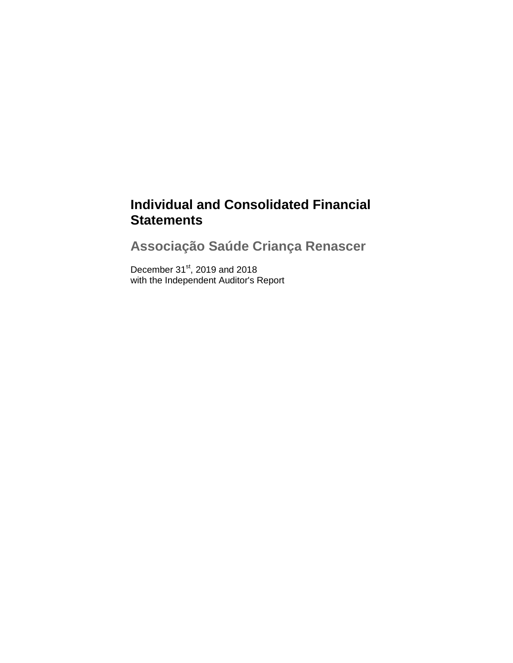# **Individual and Consolidated Financial Statements**

**Associação Saúde Criança Renascer**

December  $31<sup>st</sup>$ , 2019 and 2018 with the Independent Auditor's Report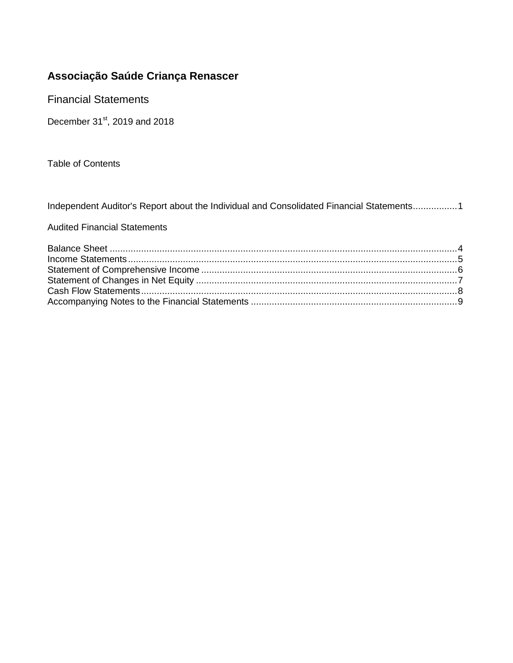Financial Statements

December 31<sup>st</sup>, 2019 and 2018

Table of Contents

Independent Auditor's Report about the Individual and Consolidated Financial Statements.................1

Audited Financial Statements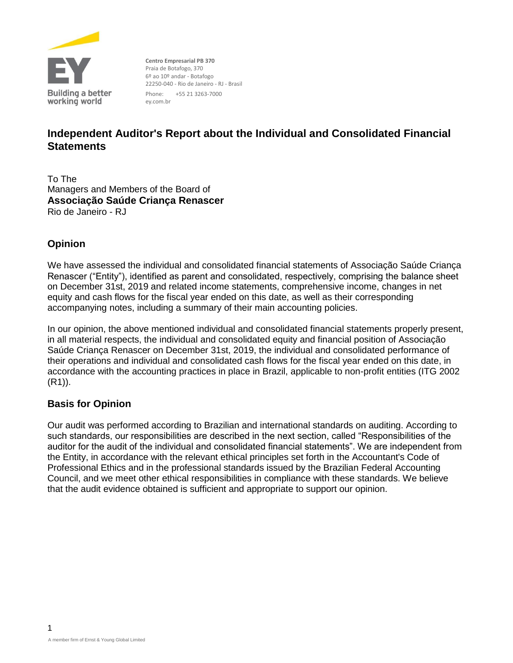

**Centro Empresarial PB 370** Praia de Botafogo, 370 6º ao 10º andar - Botafogo 22250-040 - Rio de Janeiro - RJ - Brasil Phone: +55 21 3263-7000 ey.com.br

# **Independent Auditor's Report about the Individual and Consolidated Financial Statements**

To The Managers and Members of the Board of **Associação Saúde Criança Renascer** Rio de Janeiro - RJ

### **Opinion**

We have assessed the individual and consolidated financial statements of Associação Saúde Criança Renascer ("Entity"), identified as parent and consolidated, respectively, comprising the balance sheet on December 31st, 2019 and related income statements, comprehensive income, changes in net equity and cash flows for the fiscal year ended on this date, as well as their corresponding accompanying notes, including a summary of their main accounting policies.

In our opinion, the above mentioned individual and consolidated financial statements properly present, in all material respects, the individual and consolidated equity and financial position of Associação Saúde Criança Renascer on December 31st, 2019, the individual and consolidated performance of their operations and individual and consolidated cash flows for the fiscal year ended on this date, in accordance with the accounting practices in place in Brazil, applicable to non-profit entities (ITG 2002 (R1)).

### **Basis for Opinion**

Our audit was performed according to Brazilian and international standards on auditing. According to such standards, our responsibilities are described in the next section, called "Responsibilities of the auditor for the audit of the individual and consolidated financial statements". We are independent from the Entity, in accordance with the relevant ethical principles set forth in the Accountant's Code of Professional Ethics and in the professional standards issued by the Brazilian Federal Accounting Council, and we meet other ethical responsibilities in compliance with these standards. We believe that the audit evidence obtained is sufficient and appropriate to support our opinion.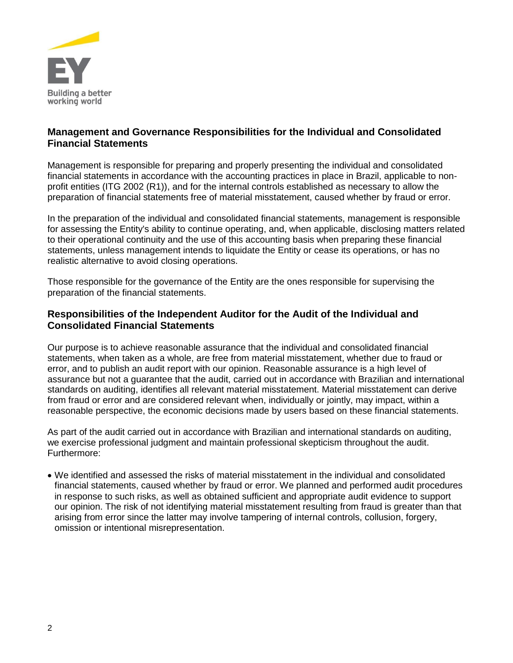

### **Management and Governance Responsibilities for the Individual and Consolidated Financial Statements**

Management is responsible for preparing and properly presenting the individual and consolidated financial statements in accordance with the accounting practices in place in Brazil, applicable to nonprofit entities (ITG 2002 (R1)), and for the internal controls established as necessary to allow the preparation of financial statements free of material misstatement, caused whether by fraud or error.

In the preparation of the individual and consolidated financial statements, management is responsible for assessing the Entity's ability to continue operating, and, when applicable, disclosing matters related to their operational continuity and the use of this accounting basis when preparing these financial statements, unless management intends to liquidate the Entity or cease its operations, or has no realistic alternative to avoid closing operations.

Those responsible for the governance of the Entity are the ones responsible for supervising the preparation of the financial statements.

### **Responsibilities of the Independent Auditor for the Audit of the Individual and Consolidated Financial Statements**

Our purpose is to achieve reasonable assurance that the individual and consolidated financial statements, when taken as a whole, are free from material misstatement, whether due to fraud or error, and to publish an audit report with our opinion. Reasonable assurance is a high level of assurance but not a guarantee that the audit, carried out in accordance with Brazilian and international standards on auditing, identifies all relevant material misstatement. Material misstatement can derive from fraud or error and are considered relevant when, individually or jointly, may impact, within a reasonable perspective, the economic decisions made by users based on these financial statements.

As part of the audit carried out in accordance with Brazilian and international standards on auditing, we exercise professional judgment and maintain professional skepticism throughout the audit. Furthermore:

 We identified and assessed the risks of material misstatement in the individual and consolidated financial statements, caused whether by fraud or error. We planned and performed audit procedures in response to such risks, as well as obtained sufficient and appropriate audit evidence to support our opinion. The risk of not identifying material misstatement resulting from fraud is greater than that arising from error since the latter may involve tampering of internal controls, collusion, forgery, omission or intentional misrepresentation.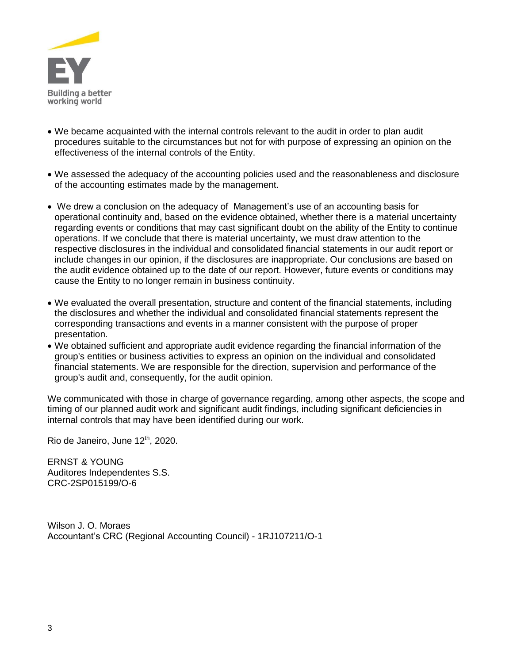

- We became acquainted with the internal controls relevant to the audit in order to plan audit procedures suitable to the circumstances but not for with purpose of expressing an opinion on the effectiveness of the internal controls of the Entity.
- We assessed the adequacy of the accounting policies used and the reasonableness and disclosure of the accounting estimates made by the management.
- We drew a conclusion on the adequacy of Management's use of an accounting basis for operational continuity and, based on the evidence obtained, whether there is a material uncertainty regarding events or conditions that may cast significant doubt on the ability of the Entity to continue operations. If we conclude that there is material uncertainty, we must draw attention to the respective disclosures in the individual and consolidated financial statements in our audit report or include changes in our opinion, if the disclosures are inappropriate. Our conclusions are based on the audit evidence obtained up to the date of our report. However, future events or conditions may cause the Entity to no longer remain in business continuity.
- We evaluated the overall presentation, structure and content of the financial statements, including the disclosures and whether the individual and consolidated financial statements represent the corresponding transactions and events in a manner consistent with the purpose of proper presentation.
- We obtained sufficient and appropriate audit evidence regarding the financial information of the group's entities or business activities to express an opinion on the individual and consolidated financial statements. We are responsible for the direction, supervision and performance of the group's audit and, consequently, for the audit opinion.

We communicated with those in charge of governance regarding, among other aspects, the scope and timing of our planned audit work and significant audit findings, including significant deficiencies in internal controls that may have been identified during our work.

Rio de Janeiro, June 12<sup>th</sup>, 2020.

ERNST & YOUNG Auditores Independentes S.S. CRC-2SP015199/O-6

Wilson J. O. Moraes Accountant's CRC (Regional Accounting Council) - 1RJ107211/O-1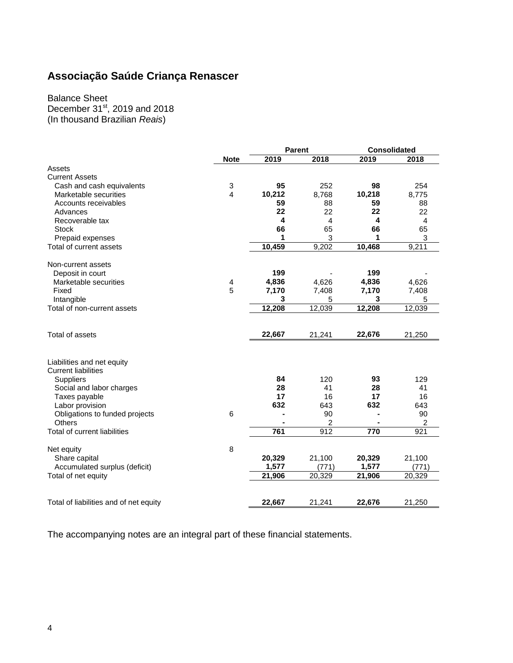Balance Sheet

December  $31<sup>st</sup>$ , 2019 and 2018

(In thousand Brazilian *Reais*)

|                                        |                 | <b>Parent</b> |        | <b>Consolidated</b> |        |
|----------------------------------------|-----------------|---------------|--------|---------------------|--------|
|                                        | <b>Note</b>     | 2019          | 2018   | 2019                | 2018   |
| Assets                                 |                 |               |        |                     |        |
| <b>Current Assets</b>                  |                 |               |        |                     |        |
| Cash and cash equivalents              | 3               | 95            | 252    | 98                  | 254    |
| Marketable securities                  | $\overline{4}$  | 10,212        | 8,768  | 10,218              | 8,775  |
| Accounts receivables                   |                 | 59            | 88     | 59                  | 88     |
| Advances                               |                 | 22            | 22     | 22                  | 22     |
| Recoverable tax                        |                 | 4             | 4      | 4                   | 4      |
| <b>Stock</b>                           |                 | 66            | 65     | 66                  | 65     |
| Prepaid expenses                       |                 | 1             | 3      | 1                   | 3      |
| Total of current assets                |                 | 10,459        | 9,202  | 10,468              | 9,211  |
|                                        |                 |               |        |                     |        |
| Non-current assets<br>Deposit in court |                 | 199           |        | 199                 |        |
| Marketable securities                  | 4               | 4,836         | 4,626  | 4,836               | 4,626  |
| Fixed                                  | 5               | 7,170         | 7,408  | 7,170               | 7,408  |
| Intangible                             |                 | 3             | 5      | 3                   | 5      |
| Total of non-current assets            |                 | 12,208        | 12,039 | 12,208              | 12,039 |
|                                        |                 |               |        |                     |        |
| Total of assets                        |                 |               |        |                     |        |
|                                        |                 | 22,667        | 21,241 | 22,676              | 21,250 |
|                                        |                 |               |        |                     |        |
| Liabilities and net equity             |                 |               |        |                     |        |
| <b>Current liabilities</b>             |                 |               |        |                     |        |
| <b>Suppliers</b>                       |                 | 84            | 120    | 93                  | 129    |
| Social and labor charges               |                 | 28            | 41     | 28                  | 41     |
| Taxes payable                          |                 | 17            | 16     | 17                  | 16     |
| Labor provision                        |                 | 632           | 643    | 632                 | 643    |
| Obligations to funded projects         | $6\phantom{1}6$ |               | 90     |                     | 90     |
| Others                                 |                 |               | 2      |                     | 2      |
| Total of current liabilities           |                 | 761           | 912    | 770                 | 921    |
| Net equity                             | 8               |               |        |                     |        |
| Share capital                          |                 | 20,329        | 21,100 | 20,329              | 21,100 |
| Accumulated surplus (deficit)          |                 | 1,577         | (771)  | 1,577               | (771)  |
| Total of net equity                    |                 | 21,906        | 20,329 | 21,906              | 20,329 |
|                                        |                 |               |        |                     |        |
| Total of liabilities and of net equity |                 | 22,667        | 21,241 | 22,676              | 21,250 |
|                                        |                 |               |        |                     |        |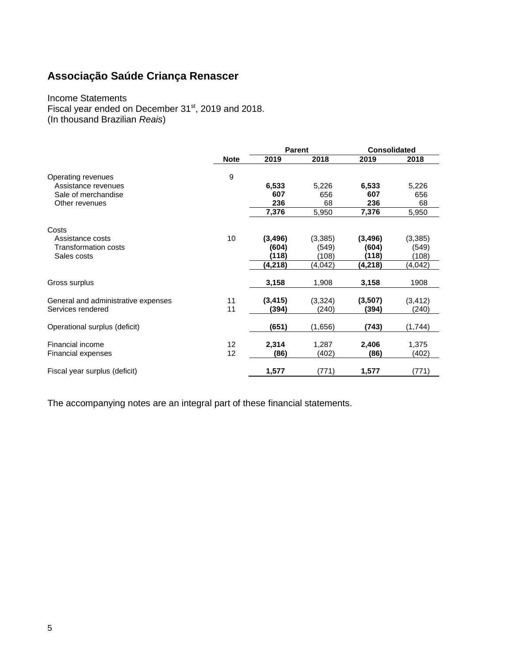#### Income Statements Fiscal year ended on December 31<sup>st</sup>, 2019 and 2018. (In thousand Brazilian *Reais*)

|                                     |             | <b>Parent</b> |          | <b>Consolidated</b> |          |
|-------------------------------------|-------------|---------------|----------|---------------------|----------|
|                                     | <b>Note</b> | 2019          | 2018     | 2019                | 2018     |
| Operating revenues                  | 9           |               |          |                     |          |
| Assistance revenues                 |             | 6,533         | 5,226    | 6,533               | 5,226    |
| Sale of merchandise                 |             | 607           | 656      | 607                 | 656      |
| Other revenues                      |             | 236           | 68       | 236                 | 68       |
|                                     |             | 7,376         | 5,950    | 7,376               | 5,950    |
| Costs                               |             |               |          |                     |          |
| Assistance costs                    | 10          | (3, 496)      | (3, 385) | (3, 496)            | (3, 385) |
| Transformation costs                |             | (604)         | (549)    | (604)               | (549)    |
| Sales costs                         |             | (118)         | (108)    | (118)               | (108)    |
|                                     |             | (4,218)       | (4,042)  | (4,218)             | (4,042)  |
| Gross surplus                       |             | 3,158         | 1,908    | 3,158               | 1908     |
| General and administrative expenses | 11          | (3, 415)      | (3,324)  | (3,507)             | (3, 412) |
| Services rendered                   | 11          | (394)         | (240)    | (394)               | (240)    |
| Operational surplus (deficit)       |             | (651)         | (1,656)  | (743)               | (1,744)  |
| Financial income                    | 12          | 2,314         | 1,287    | 2,406               | 1,375    |
| Financial expenses                  | 12          | (86)          | (402)    | (86)                | (402)    |
| Fiscal year surplus (deficit)       |             | 1,577         | (771)    | 1,577               | (771)    |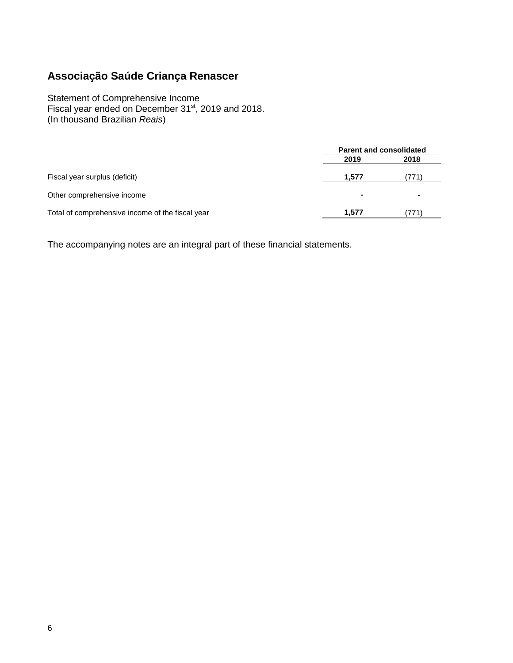Statement of Comprehensive Income Fiscal year ended on December 31<sup>st</sup>, 2019 and 2018. (In thousand Brazilian *Reais*)

|                                                  | <b>Parent and consolidated</b> |      |  |
|--------------------------------------------------|--------------------------------|------|--|
|                                                  | 2019                           | 2018 |  |
| Fiscal year surplus (deficit)                    | 1.577                          |      |  |
| Other comprehensive income                       |                                |      |  |
| Total of comprehensive income of the fiscal year | 1.577                          |      |  |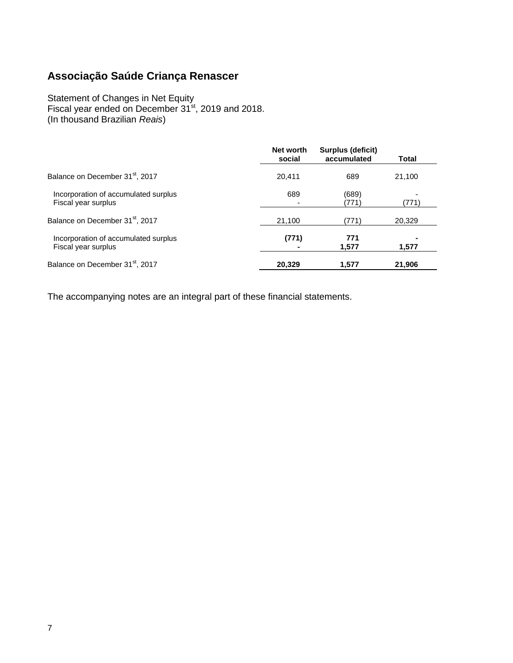#### Statement of Changes in Net Equity Fiscal year ended on December 31<sup>st</sup>, 2019 and 2018. (In thousand Brazilian *Reais*)

|                                                             | Net worth<br>social | Surplus (deficit)<br>accumulated | Total  |
|-------------------------------------------------------------|---------------------|----------------------------------|--------|
| Balance on December 31 <sup>st</sup> , 2017                 | 20.411              | 689                              | 21,100 |
| Incorporation of accumulated surplus<br>Fiscal year surplus | 689                 | (689)<br>(771)                   | (771)  |
| Balance on December 31 <sup>st</sup> , 2017                 | 21,100              | (771)                            | 20,329 |
| Incorporation of accumulated surplus<br>Fiscal year surplus | (771)               | 771<br>1,577                     | 1,577  |
| Balance on December 31 <sup>st</sup> , 2017                 | 20,329              | 1.577                            | 21,906 |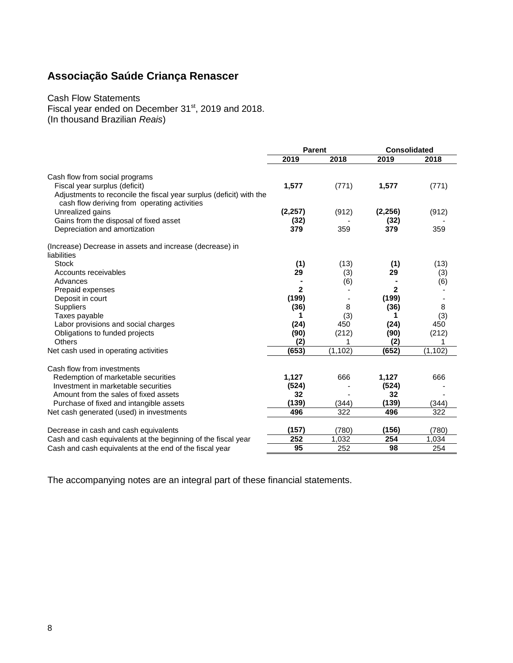#### Cash Flow Statements Fiscal year ended on December 31<sup>st</sup>, 2019 and 2018. (In thousand Brazilian *Reais*)

|                                                                     | Parent       |          | <b>Consolidated</b> |          |
|---------------------------------------------------------------------|--------------|----------|---------------------|----------|
|                                                                     | 2019         | 2018     | 2019                | 2018     |
| Cash flow from social programs                                      |              |          |                     |          |
| Fiscal year surplus (deficit)                                       | 1,577        | (771)    | 1,577               | (771)    |
| Adjustments to reconcile the fiscal year surplus (deficit) with the |              |          |                     |          |
| cash flow deriving from operating activities                        |              |          |                     |          |
| Unrealized gains                                                    | (2, 257)     | (912)    | (2, 256)            | (912)    |
| Gains from the disposal of fixed asset                              | (32)         |          | (32)                |          |
| Depreciation and amortization                                       | 379          | 359      | 379                 | 359      |
| (Increase) Decrease in assets and increase (decrease) in            |              |          |                     |          |
| liabilities                                                         |              |          |                     |          |
| Stock                                                               | (1)          | (13)     | (1)                 | (13)     |
| Accounts receivables                                                | 29           | (3)      | 29                  | (3)      |
| Advances                                                            |              | (6)      |                     | (6)      |
| Prepaid expenses                                                    | $\mathbf{2}$ |          | $\mathbf 2$         |          |
| Deposit in court                                                    | (199)        |          | (199)               |          |
| Suppliers                                                           | (36)         | 8        | (36)                | 8        |
| Taxes payable                                                       | 1            | (3)      | 1                   | (3)      |
| Labor provisions and social charges                                 | (24)         | 450      | (24)                | 450      |
| Obligations to funded projects                                      | (90)         | (212)    | (90)                | (212)    |
| <b>Others</b>                                                       | (2)          |          | (2)                 | 1        |
| Net cash used in operating activities                               | (653)        | (1, 102) | (652)               | (1, 102) |
| Cash flow from investments                                          |              |          |                     |          |
| Redemption of marketable securities                                 | 1,127        | 666      | 1,127               | 666      |
| Investment in marketable securities                                 | (524)        |          | (524)               |          |
| Amount from the sales of fixed assets                               | 32           |          | 32                  |          |
| Purchase of fixed and intangible assets                             | (139)        | (344)    | (139)               | (344)    |
| Net cash generated (used) in investments                            | 496          | 322      | 496                 | 322      |
| Decrease in cash and cash equivalents                               | (157)        | (780)    | (156)               | (780)    |
| Cash and cash equivalents at the beginning of the fiscal year       | 252          | 1,032    | 254                 | 1,034    |
| Cash and cash equivalents at the end of the fiscal year             | 95           | 252      | 98                  | 254      |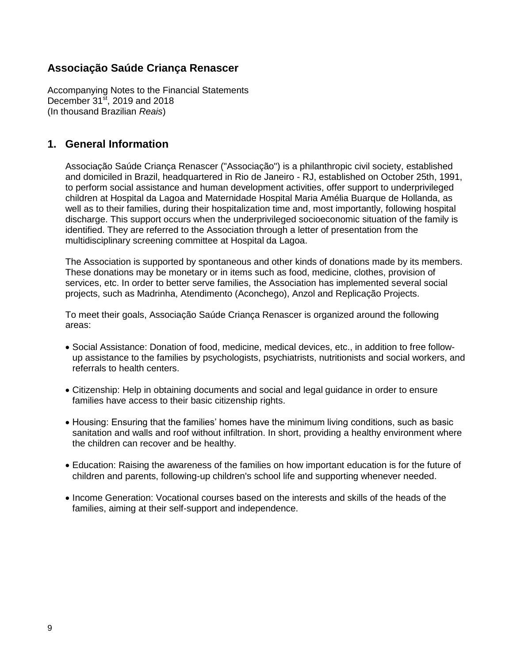Accompanying Notes to the Financial Statements December  $31<sup>st</sup>$ , 2019 and 2018 (In thousand Brazilian *Reais*)

### **1. General Information**

Associação Saúde Criança Renascer ("Associação") is a philanthropic civil society, established and domiciled in Brazil, headquartered in Rio de Janeiro - RJ, established on October 25th, 1991, to perform social assistance and human development activities, offer support to underprivileged children at Hospital da Lagoa and Maternidade Hospital Maria Amélia Buarque de Hollanda, as well as to their families, during their hospitalization time and, most importantly, following hospital discharge. This support occurs when the underprivileged socioeconomic situation of the family is identified. They are referred to the Association through a letter of presentation from the multidisciplinary screening committee at Hospital da Lagoa.

The Association is supported by spontaneous and other kinds of donations made by its members. These donations may be monetary or in items such as food, medicine, clothes, provision of services, etc. In order to better serve families, the Association has implemented several social projects, such as Madrinha, Atendimento (Aconchego), Anzol and Replicação Projects.

To meet their goals, Associação Saúde Criança Renascer is organized around the following areas:

- Social Assistance: Donation of food, medicine, medical devices, etc., in addition to free followup assistance to the families by psychologists, psychiatrists, nutritionists and social workers, and referrals to health centers.
- Citizenship: Help in obtaining documents and social and legal guidance in order to ensure families have access to their basic citizenship rights.
- Housing: Ensuring that the families' homes have the minimum living conditions, such as basic sanitation and walls and roof without infiltration. In short, providing a healthy environment where the children can recover and be healthy.
- Education: Raising the awareness of the families on how important education is for the future of children and parents, following-up children's school life and supporting whenever needed.
- Income Generation: Vocational courses based on the interests and skills of the heads of the families, aiming at their self-support and independence.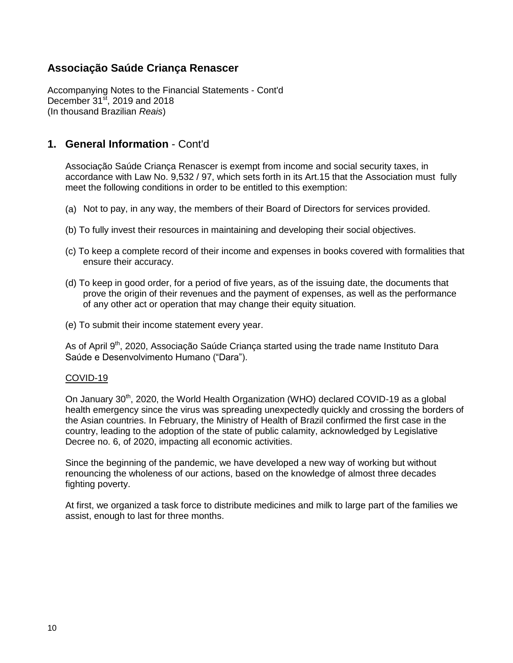Accompanying Notes to the Financial Statements - Cont'd December  $31<sup>st</sup>$ , 2019 and 2018 (In thousand Brazilian *Reais*)

### **1. General Information** - Cont'd

Associação Saúde Criança Renascer is exempt from income and social security taxes, in accordance with Law No. 9,532 / 97, which sets forth in its Art.15 that the Association must fully meet the following conditions in order to be entitled to this exemption:

- (a) Not to pay, in any way, the members of their Board of Directors for services provided.
- (b) To fully invest their resources in maintaining and developing their social objectives.
- (c) To keep a complete record of their income and expenses in books covered with formalities that ensure their accuracy.
- (d) To keep in good order, for a period of five years, as of the issuing date, the documents that prove the origin of their revenues and the payment of expenses, as well as the performance of any other act or operation that may change their equity situation.
- (e) To submit their income statement every year.

As of April 9<sup>th</sup>, 2020, Associação Saúde Criança started using the trade name Instituto Dara Saúde e Desenvolvimento Humano ("Dara").

#### COVID-19

On January 30<sup>th</sup>, 2020, the World Health Organization (WHO) declared COVID-19 as a global health emergency since the virus was spreading unexpectedly quickly and crossing the borders of the Asian countries. In February, the Ministry of Health of Brazil confirmed the first case in the country, leading to the adoption of the state of public calamity, acknowledged by Legislative Decree no. 6, of 2020, impacting all economic activities.

Since the beginning of the pandemic, we have developed a new way of working but without renouncing the wholeness of our actions, based on the knowledge of almost three decades fighting poverty.

At first, we organized a task force to distribute medicines and milk to large part of the families we assist, enough to last for three months.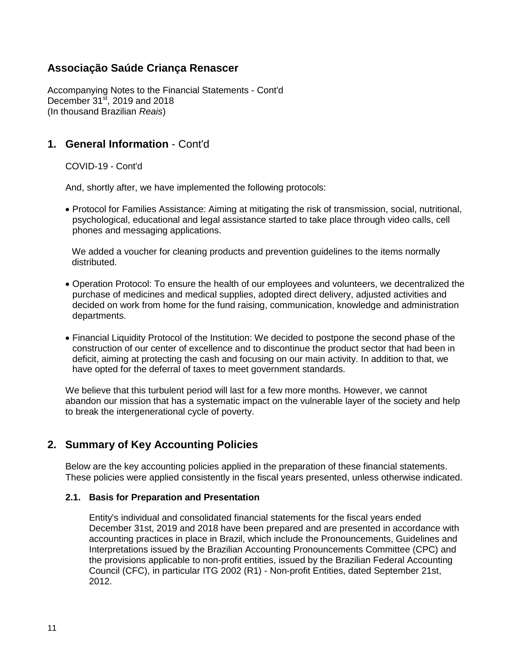Accompanying Notes to the Financial Statements - Cont'd December  $31<sup>st</sup>$ , 2019 and 2018 (In thousand Brazilian *Reais*)

### **1. General Information** - Cont'd

COVID-19 - Cont'd

And, shortly after, we have implemented the following protocols:

 Protocol for Families Assistance: Aiming at mitigating the risk of transmission, social, nutritional, psychological, educational and legal assistance started to take place through video calls, cell phones and messaging applications.

We added a voucher for cleaning products and prevention guidelines to the items normally distributed.

- Operation Protocol: To ensure the health of our employees and volunteers, we decentralized the purchase of medicines and medical supplies, adopted direct delivery, adjusted activities and decided on work from home for the fund raising, communication, knowledge and administration departments.
- Financial Liquidity Protocol of the Institution: We decided to postpone the second phase of the construction of our center of excellence and to discontinue the product sector that had been in deficit, aiming at protecting the cash and focusing on our main activity. In addition to that, we have opted for the deferral of taxes to meet government standards.

We believe that this turbulent period will last for a few more months. However, we cannot abandon our mission that has a systematic impact on the vulnerable layer of the society and help to break the intergenerational cycle of poverty.

### **2. Summary of Key Accounting Policies**

Below are the key accounting policies applied in the preparation of these financial statements. These policies were applied consistently in the fiscal years presented, unless otherwise indicated.

#### **2.1. Basis for Preparation and Presentation**

Entity's individual and consolidated financial statements for the fiscal years ended December 31st, 2019 and 2018 have been prepared and are presented in accordance with accounting practices in place in Brazil, which include the Pronouncements, Guidelines and Interpretations issued by the Brazilian Accounting Pronouncements Committee (CPC) and the provisions applicable to non-profit entities, issued by the Brazilian Federal Accounting Council (CFC), in particular ITG 2002 (R1) - Non-profit Entities, dated September 21st, 2012.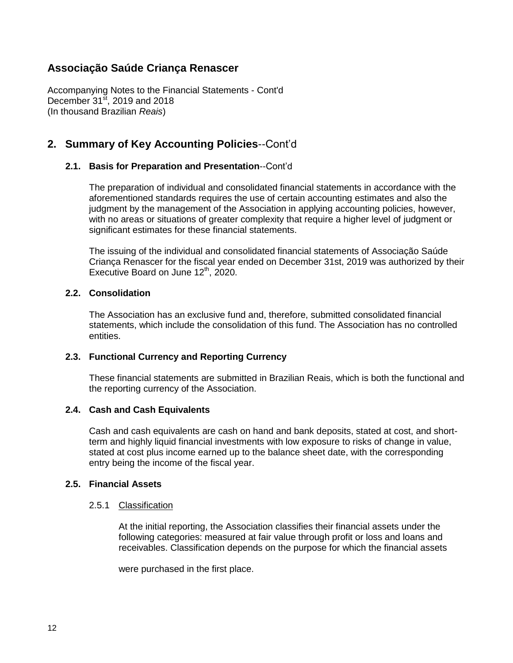Accompanying Notes to the Financial Statements - Cont'd December  $31<sup>st</sup>$ , 2019 and 2018 (In thousand Brazilian *Reais*)

# **2. Summary of Key Accounting Policies**--Cont'd

#### **2.1. Basis for Preparation and Presentation**--Cont'd

The preparation of individual and consolidated financial statements in accordance with the aforementioned standards requires the use of certain accounting estimates and also the judgment by the management of the Association in applying accounting policies, however, with no areas or situations of greater complexity that require a higher level of judgment or significant estimates for these financial statements.

The issuing of the individual and consolidated financial statements of Associação Saúde Criança Renascer for the fiscal year ended on December 31st, 2019 was authorized by their Executive Board on June 12<sup>th</sup>, 2020.

#### **2.2. Consolidation**

The Association has an exclusive fund and, therefore, submitted consolidated financial statements, which include the consolidation of this fund. The Association has no controlled entities.

#### **2.3. Functional Currency and Reporting Currency**

These financial statements are submitted in Brazilian Reais, which is both the functional and the reporting currency of the Association.

#### **2.4. Cash and Cash Equivalents**

Cash and cash equivalents are cash on hand and bank deposits, stated at cost, and shortterm and highly liquid financial investments with low exposure to risks of change in value, stated at cost plus income earned up to the balance sheet date, with the corresponding entry being the income of the fiscal year.

#### **2.5. Financial Assets**

#### 2.5.1 Classification

At the initial reporting, the Association classifies their financial assets under the following categories: measured at fair value through profit or loss and loans and receivables. Classification depends on the purpose for which the financial assets

were purchased in the first place.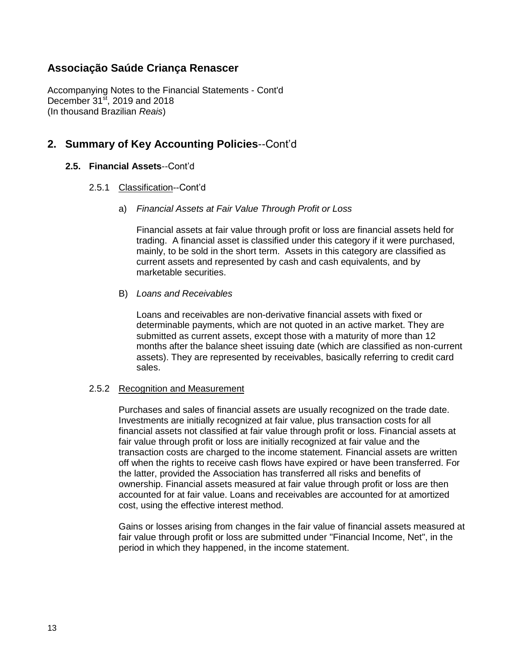Accompanying Notes to the Financial Statements - Cont'd December  $31<sup>st</sup>$ , 2019 and 2018 (In thousand Brazilian *Reais*)

### **2. Summary of Key Accounting Policies**--Cont'd

#### **2.5. Financial Assets**--Cont'd

#### 2.5.1 Classification--Cont'd

a) *Financial Assets at Fair Value Through Profit or Loss*

Financial assets at fair value through profit or loss are financial assets held for trading. A financial asset is classified under this category if it were purchased, mainly, to be sold in the short term. Assets in this category are classified as current assets and represented by cash and cash equivalents, and by marketable securities.

#### B) *Loans and Receivables*

Loans and receivables are non-derivative financial assets with fixed or determinable payments, which are not quoted in an active market. They are submitted as current assets, except those with a maturity of more than 12 months after the balance sheet issuing date (which are classified as non-current assets). They are represented by receivables, basically referring to credit card sales.

#### 2.5.2 Recognition and Measurement

Purchases and sales of financial assets are usually recognized on the trade date. Investments are initially recognized at fair value, plus transaction costs for all financial assets not classified at fair value through profit or loss. Financial assets at fair value through profit or loss are initially recognized at fair value and the transaction costs are charged to the income statement. Financial assets are written off when the rights to receive cash flows have expired or have been transferred. For the latter, provided the Association has transferred all risks and benefits of ownership. Financial assets measured at fair value through profit or loss are then accounted for at fair value. Loans and receivables are accounted for at amortized cost, using the effective interest method.

Gains or losses arising from changes in the fair value of financial assets measured at fair value through profit or loss are submitted under "Financial Income, Net", in the period in which they happened, in the income statement.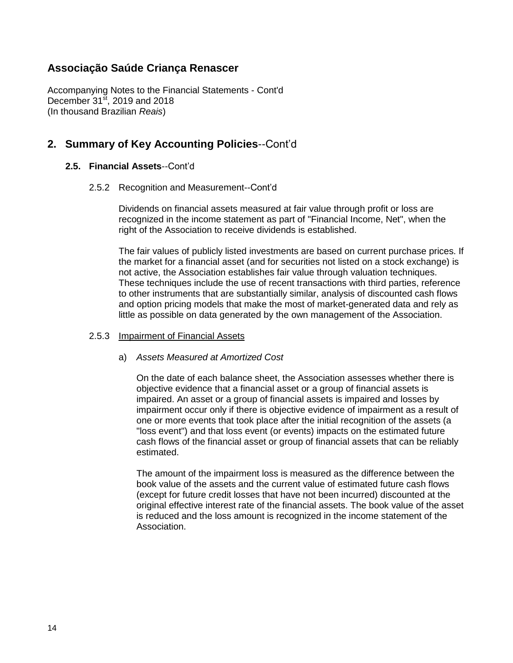Accompanying Notes to the Financial Statements - Cont'd December  $31<sup>st</sup>$ , 2019 and 2018 (In thousand Brazilian *Reais*)

### **2. Summary of Key Accounting Policies**--Cont'd

#### **2.5. Financial Assets**--Cont'd

#### 2.5.2 Recognition and Measurement--Cont'd

Dividends on financial assets measured at fair value through profit or loss are recognized in the income statement as part of "Financial Income, Net", when the right of the Association to receive dividends is established.

The fair values of publicly listed investments are based on current purchase prices. If the market for a financial asset (and for securities not listed on a stock exchange) is not active, the Association establishes fair value through valuation techniques. These techniques include the use of recent transactions with third parties, reference to other instruments that are substantially similar, analysis of discounted cash flows and option pricing models that make the most of market-generated data and rely as little as possible on data generated by the own management of the Association.

#### 2.5.3 Impairment of Financial Assets

#### a) *Assets Measured at Amortized Cost*

On the date of each balance sheet, the Association assesses whether there is objective evidence that a financial asset or a group of financial assets is impaired. An asset or a group of financial assets is impaired and losses by impairment occur only if there is objective evidence of impairment as a result of one or more events that took place after the initial recognition of the assets (a "loss event") and that loss event (or events) impacts on the estimated future cash flows of the financial asset or group of financial assets that can be reliably estimated.

The amount of the impairment loss is measured as the difference between the book value of the assets and the current value of estimated future cash flows (except for future credit losses that have not been incurred) discounted at the original effective interest rate of the financial assets. The book value of the asset is reduced and the loss amount is recognized in the income statement of the Association.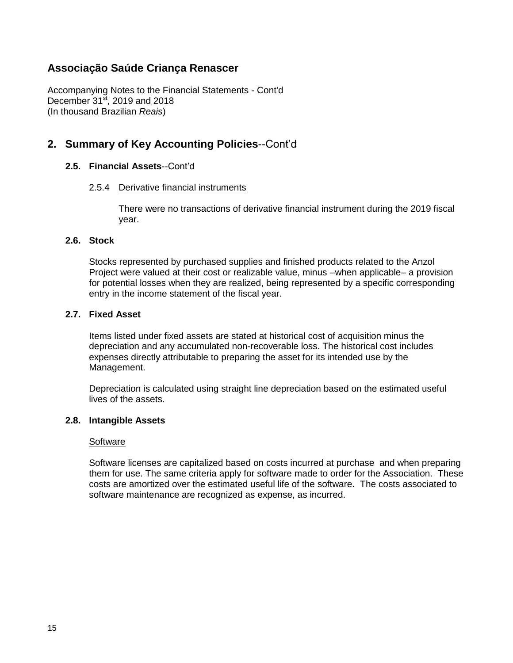Accompanying Notes to the Financial Statements - Cont'd December  $31<sup>st</sup>$ , 2019 and 2018 (In thousand Brazilian *Reais*)

### **2. Summary of Key Accounting Policies**--Cont'd

#### **2.5. Financial Assets**--Cont'd

#### 2.5.4 Derivative financial instruments

There were no transactions of derivative financial instrument during the 2019 fiscal year.

#### **2.6. Stock**

Stocks represented by purchased supplies and finished products related to the Anzol Project were valued at their cost or realizable value, minus –when applicable– a provision for potential losses when they are realized, being represented by a specific corresponding entry in the income statement of the fiscal year.

#### **2.7. Fixed Asset**

Items listed under fixed assets are stated at historical cost of acquisition minus the depreciation and any accumulated non-recoverable loss. The historical cost includes expenses directly attributable to preparing the asset for its intended use by the Management.

Depreciation is calculated using straight line depreciation based on the estimated useful lives of the assets.

#### **2.8. Intangible Assets**

#### **Software**

Software licenses are capitalized based on costs incurred at purchase and when preparing them for use. The same criteria apply for software made to order for the Association. These costs are amortized over the estimated useful life of the software. The costs associated to software maintenance are recognized as expense, as incurred.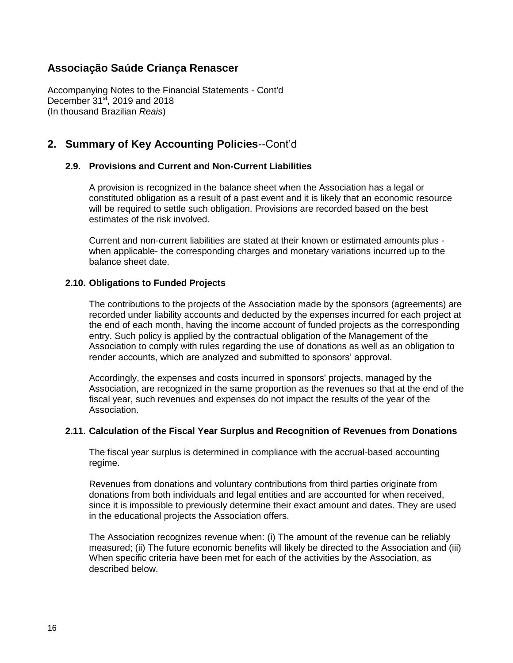Accompanying Notes to the Financial Statements - Cont'd December  $31<sup>st</sup>$ , 2019 and 2018 (In thousand Brazilian *Reais*)

## **2. Summary of Key Accounting Policies**--Cont'd

#### **2.9. Provisions and Current and Non-Current Liabilities**

A provision is recognized in the balance sheet when the Association has a legal or constituted obligation as a result of a past event and it is likely that an economic resource will be required to settle such obligation. Provisions are recorded based on the best estimates of the risk involved.

Current and non-current liabilities are stated at their known or estimated amounts plus when applicable- the corresponding charges and monetary variations incurred up to the balance sheet date.

#### **2.10. Obligations to Funded Projects**

The contributions to the projects of the Association made by the sponsors (agreements) are recorded under liability accounts and deducted by the expenses incurred for each project at the end of each month, having the income account of funded projects as the corresponding entry. Such policy is applied by the contractual obligation of the Management of the Association to comply with rules regarding the use of donations as well as an obligation to render accounts, which are analyzed and submitted to sponsors' approval.

Accordingly, the expenses and costs incurred in sponsors' projects, managed by the Association, are recognized in the same proportion as the revenues so that at the end of the fiscal year, such revenues and expenses do not impact the results of the year of the Association.

#### **2.11. Calculation of the Fiscal Year Surplus and Recognition of Revenues from Donations**

The fiscal year surplus is determined in compliance with the accrual-based accounting regime.

Revenues from donations and voluntary contributions from third parties originate from donations from both individuals and legal entities and are accounted for when received, since it is impossible to previously determine their exact amount and dates. They are used in the educational projects the Association offers.

The Association recognizes revenue when: (i) The amount of the revenue can be reliably measured; (ii) The future economic benefits will likely be directed to the Association and (iii) When specific criteria have been met for each of the activities by the Association, as described below.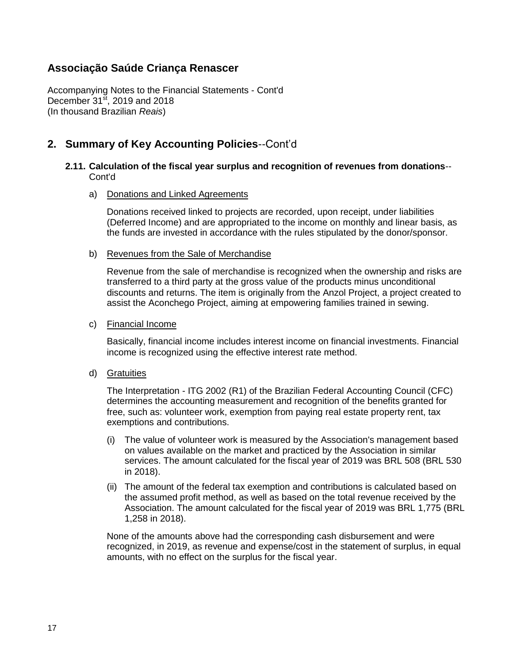Accompanying Notes to the Financial Statements - Cont'd December  $31<sup>st</sup>$ , 2019 and 2018 (In thousand Brazilian *Reais*)

## **2. Summary of Key Accounting Policies**--Cont'd

#### **2.11. Calculation of the fiscal year surplus and recognition of revenues from donations**-- Cont'd

#### a) Donations and Linked Agreements

Donations received linked to projects are recorded, upon receipt, under liabilities (Deferred Income) and are appropriated to the income on monthly and linear basis, as the funds are invested in accordance with the rules stipulated by the donor/sponsor.

#### b) Revenues from the Sale of Merchandise

Revenue from the sale of merchandise is recognized when the ownership and risks are transferred to a third party at the gross value of the products minus unconditional discounts and returns. The item is originally from the Anzol Project, a project created to assist the Aconchego Project, aiming at empowering families trained in sewing.

#### c) Financial Income

Basically, financial income includes interest income on financial investments. Financial income is recognized using the effective interest rate method.

#### d) Gratuities

The Interpretation - ITG 2002 (R1) of the Brazilian Federal Accounting Council (CFC) determines the accounting measurement and recognition of the benefits granted for free, such as: volunteer work, exemption from paying real estate property rent, tax exemptions and contributions.

- (i) The value of volunteer work is measured by the Association's management based on values available on the market and practiced by the Association in similar services. The amount calculated for the fiscal year of 2019 was BRL 508 (BRL 530 in 2018).
- (ii) The amount of the federal tax exemption and contributions is calculated based on the assumed profit method, as well as based on the total revenue received by the Association. The amount calculated for the fiscal year of 2019 was BRL 1,775 (BRL 1,258 in 2018).

None of the amounts above had the corresponding cash disbursement and were recognized, in 2019, as revenue and expense/cost in the statement of surplus, in equal amounts, with no effect on the surplus for the fiscal year.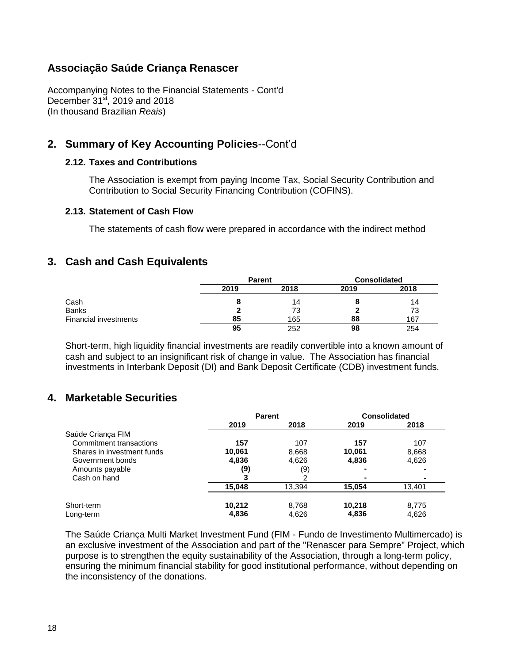Accompanying Notes to the Financial Statements - Cont'd December  $31<sup>st</sup>$ , 2019 and 2018 (In thousand Brazilian *Reais*)

# **2. Summary of Key Accounting Policies**--Cont'd

#### **2.12. Taxes and Contributions**

The Association is exempt from paying Income Tax, Social Security Contribution and Contribution to Social Security Financing Contribution (COFINS).

#### **2.13. Statement of Cash Flow**

The statements of cash flow were prepared in accordance with the indirect method

### **3. Cash and Cash Equivalents**

|                              | <b>Parent</b> |      | <b>Consolidated</b> |      |
|------------------------------|---------------|------|---------------------|------|
|                              | 2019          | 2018 | 2019                | 2018 |
| Cash                         |               | 14   |                     | 14   |
| <b>Banks</b>                 |               | 73   |                     | 73   |
| <b>Financial investments</b> | 85            | 165  | 88                  | 167  |
|                              | 95            | 252  | 98                  | 254  |

Short-term, high liquidity financial investments are readily convertible into a known amount of cash and subject to an insignificant risk of change in value. The Association has financial investments in Interbank Deposit (DI) and Bank Deposit Certificate (CDB) investment funds.

### **4. Marketable Securities**

|                            | <b>Parent</b> |        |        | <b>Consolidated</b> |
|----------------------------|---------------|--------|--------|---------------------|
|                            | 2019          | 2018   | 2019   | 2018                |
| Saúde Criança FIM          |               |        |        |                     |
| Commitment transactions    | 157           | 107    | 157    | 107                 |
| Shares in investment funds | 10,061        | 8,668  | 10.061 | 8,668               |
| Government bonds           | 4,836         | 4.626  | 4,836  | 4,626               |
| Amounts payable            | (9)           | (9)    |        |                     |
| Cash on hand               |               |        |        |                     |
|                            | 15,048        | 13,394 | 15.054 | 13.401              |
| Short-term                 | 10.212        | 8,768  | 10.218 | 8,775               |
| Long-term                  | 4,836         | 4.626  | 4,836  | 4,626               |

The Saúde Criança Multi Market Investment Fund (FIM - Fundo de Investimento Multimercado) is an exclusive investment of the Association and part of the "Renascer para Sempre" Project, which purpose is to strengthen the equity sustainability of the Association, through a long-term policy, ensuring the minimum financial stability for good institutional performance, without depending on the inconsistency of the donations.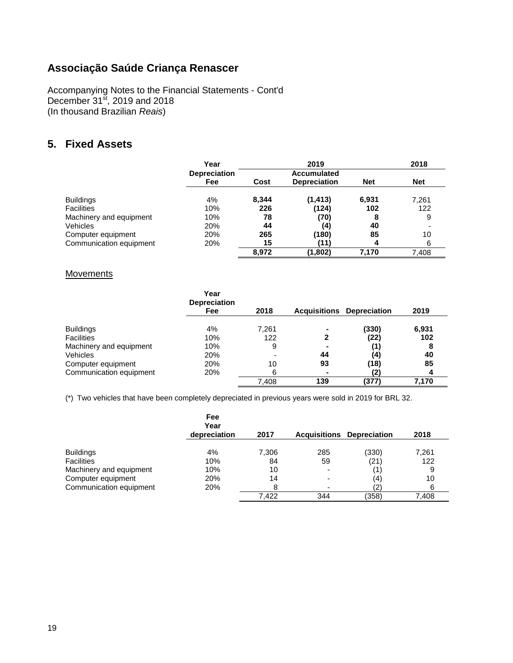Accompanying Notes to the Financial Statements - Cont'd December  $31<sup>st</sup>$ , 2019 and 2018 (In thousand Brazilian *Reais*)

# **5. Fixed Assets**

|                         | Year                |       | 2019                |            | 2018       |
|-------------------------|---------------------|-------|---------------------|------------|------------|
|                         | <b>Depreciation</b> |       | Accumulated         |            |            |
|                         | Fee                 | Cost  | <b>Depreciation</b> | <b>Net</b> | <b>Net</b> |
| <b>Buildings</b>        | 4%                  | 8.344 | (1, 413)            | 6,931      | 7,261      |
| <b>Facilities</b>       | 10%                 | 226   | (124)               | 102        | 122        |
| Machinery and equipment | 10%                 | 78    | (70)                | 8          | 9          |
| Vehicles                | 20%                 | 44    | (4)                 | 40         |            |
| Computer equipment      | 20%                 | 265   | (180)               | 85         | 10         |
| Communication equipment | 20%                 | 15    | (11)                |            | 6          |
|                         |                     | 8.972 | (1,802)             | 7.170      | 7.408      |

#### **Movements**

|                         | Year<br><b>Depreciation</b> |       |                     |                     |       |
|-------------------------|-----------------------------|-------|---------------------|---------------------|-------|
|                         | Fee                         | 2018  | <b>Acquisitions</b> | <b>Depreciation</b> | 2019  |
| <b>Buildings</b>        | 4%                          | 7.261 | $\blacksquare$      | (330)               | 6,931 |
| <b>Facilities</b>       | 10%                         | 122   |                     | (22)                | 102   |
| Machinery and equipment | 10%                         | 9     |                     | (1)                 | 8     |
| Vehicles                | 20%                         |       | 44                  | (4)                 | 40    |
| Computer equipment      | 20%                         | 10    | 93                  | (18)                | 85    |
| Communication equipment | 20%                         | 6     | $\blacksquare$      |                     | 4     |
|                         |                             | 7.408 | 139                 | (377)               | 7.170 |

(\*) Two vehicles that have been completely depreciated in previous years were sold in 2019 for BRL 32.

|                                       | Fee<br>Year<br>depreciation | 2017  | <b>Acquisitions</b>      | <b>Depreciation</b> | 2018  |
|---------------------------------------|-----------------------------|-------|--------------------------|---------------------|-------|
|                                       | 4%                          | 7,306 | 285                      | (330)               | 7,261 |
| <b>Buildings</b><br><b>Facilities</b> | 10%                         | 84    | 59                       | (21)                | 122   |
|                                       |                             |       |                          |                     |       |
| Machinery and equipment               | 10%                         | 10    | $\overline{\phantom{0}}$ |                     | 9     |
| Computer equipment                    | 20%                         | 14    | $\overline{\phantom{0}}$ | (4)                 | 10    |
| Communication equipment               | 20%                         | 8     | $\overline{\phantom{0}}$ |                     | 6     |
|                                       |                             | 7.422 | 344                      | (358)               | 7,408 |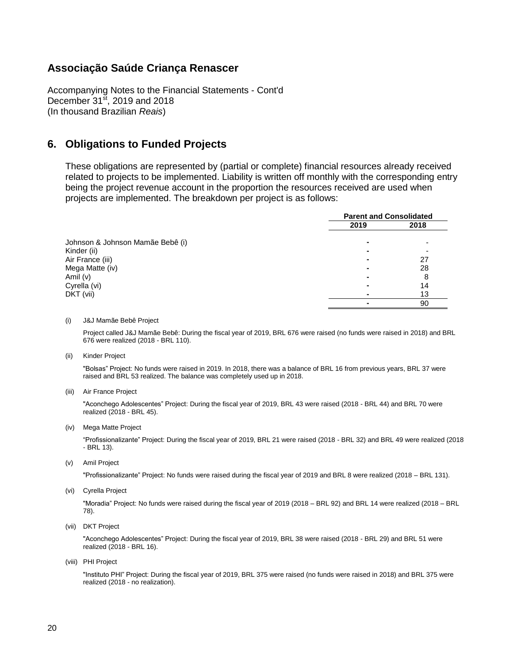Accompanying Notes to the Financial Statements - Cont'd December  $31<sup>st</sup>$ , 2019 and 2018 (In thousand Brazilian *Reais*)

### **6. Obligations to Funded Projects**

These obligations are represented by (partial or complete) financial resources already received related to projects to be implemented. Liability is written off monthly with the corresponding entry being the project revenue account in the proportion the resources received are used when projects are implemented. The breakdown per project is as follows:

|                                  | <b>Parent and Consolidated</b> |      |
|----------------------------------|--------------------------------|------|
|                                  | 2019                           | 2018 |
| Johnson & Johnson Mamãe Bebê (i) |                                |      |
| Kinder (ii)                      |                                |      |
| Air France (iii)                 |                                | 27   |
| Mega Matte (iv)                  |                                | 28   |
| Amil (v)                         |                                | 8    |
| Cyrella (vi)                     |                                | 14   |
| DKT (vii)                        |                                | 13   |
|                                  |                                | 90   |

#### (i) J&J Mamãe Bebê Project

Project called J&J Mamãe Bebê: During the fiscal year of 2019, BRL 676 were raised (no funds were raised in 2018) and BRL 676 were realized (2018 - BRL 110).

(ii) Kinder Project

"Bolsas" Project: No funds were raised in 2019. In 2018, there was a balance of BRL 16 from previous years, BRL 37 were raised and BRL 53 realized. The balance was completely used up in 2018.

(iii) Air France Project

"Aconchego Adolescentes" Project: During the fiscal year of 2019, BRL 43 were raised (2018 - BRL 44) and BRL 70 were realized (2018 - BRL 45).

(iv) Mega Matte Project

"Profissionalizante" Project: During the fiscal year of 2019, BRL 21 were raised (2018 - BRL 32) and BRL 49 were realized (2018 - BRL 13).

(v) Amil Project

"Profissionalizante" Project: No funds were raised during the fiscal year of 2019 and BRL 8 were realized (2018 – BRL 131).

(vi) Cyrella Project

"Moradia" Project: No funds were raised during the fiscal year of 2019 (2018 – BRL 92) and BRL 14 were realized (2018 – BRL 78).

(vii) DKT Project

"Aconchego Adolescentes" Project: During the fiscal year of 2019, BRL 38 were raised (2018 - BRL 29) and BRL 51 were realized (2018 - BRL 16).

(viii) PHI Project

"Instituto PHI" Project: During the fiscal year of 2019, BRL 375 were raised (no funds were raised in 2018) and BRL 375 were realized (2018 - no realization).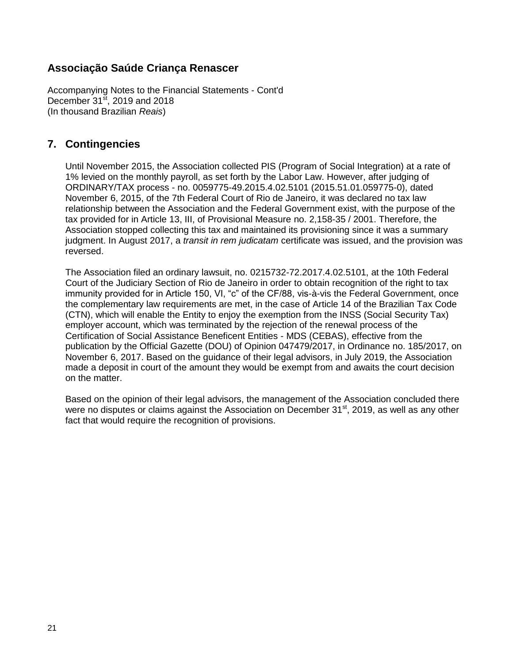Accompanying Notes to the Financial Statements - Cont'd December  $31<sup>st</sup>$ , 2019 and 2018 (In thousand Brazilian *Reais*)

### **7. Contingencies**

Until November 2015, the Association collected PIS (Program of Social Integration) at a rate of 1% levied on the monthly payroll, as set forth by the Labor Law. However, after judging of ORDINARY/TAX process - no. 0059775-49.2015.4.02.5101 (2015.51.01.059775-0), dated November 6, 2015, of the 7th Federal Court of Rio de Janeiro, it was declared no tax law relationship between the Association and the Federal Government exist, with the purpose of the tax provided for in Article 13, III, of Provisional Measure no. 2,158-35 / 2001. Therefore, the Association stopped collecting this tax and maintained its provisioning since it was a summary judgment. In August 2017, a *transit in rem judicatam* certificate was issued, and the provision was reversed.

The Association filed an ordinary lawsuit, no. 0215732-72.2017.4.02.5101, at the 10th Federal Court of the Judiciary Section of Rio de Janeiro in order to obtain recognition of the right to tax immunity provided for in Article 150, VI, "c" of the CF/88, vis-à-vis the Federal Government, once the complementary law requirements are met, in the case of Article 14 of the Brazilian Tax Code (CTN), which will enable the Entity to enjoy the exemption from the INSS (Social Security Tax) employer account, which was terminated by the rejection of the renewal process of the Certification of Social Assistance Beneficent Entities - MDS (CEBAS), effective from the publication by the Official Gazette (DOU) of Opinion 047479/2017, in Ordinance no. 185/2017, on November 6, 2017. Based on the guidance of their legal advisors, in July 2019, the Association made a deposit in court of the amount they would be exempt from and awaits the court decision on the matter.

Based on the opinion of their legal advisors, the management of the Association concluded there were no disputes or claims against the Association on December 31<sup>st</sup>, 2019, as well as any other fact that would require the recognition of provisions.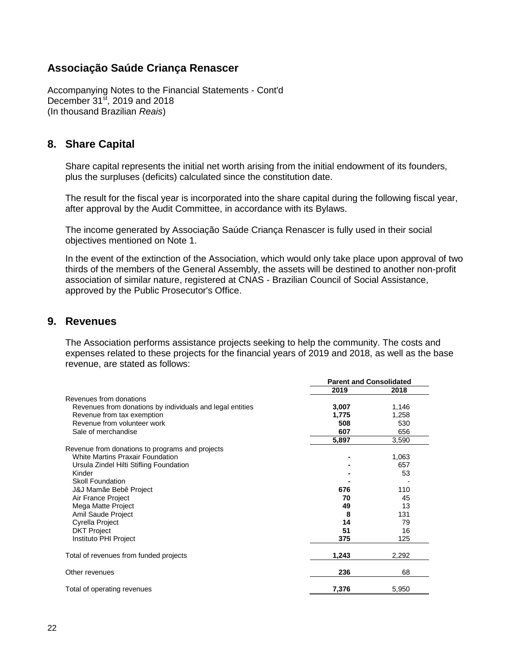Accompanying Notes to the Financial Statements - Cont'd December  $31<sup>st</sup>$ , 2019 and 2018 (In thousand Brazilian *Reais*)

### **8. Share Capital**

Share capital represents the initial net worth arising from the initial endowment of its founders, plus the surpluses (deficits) calculated since the constitution date.

The result for the fiscal year is incorporated into the share capital during the following fiscal year, after approval by the Audit Committee, in accordance with its Bylaws.

The income generated by Associação Saúde Criança Renascer is fully used in their social objectives mentioned on Note 1.

In the event of the extinction of the Association, which would only take place upon approval of two thirds of the members of the General Assembly, the assets will be destined to another non-profit association of similar nature, registered at CNAS - Brazilian Council of Social Assistance, approved by the Public Prosecutor's Office.

### **9. Revenues**

The Association performs assistance projects seeking to help the community. The costs and expenses related to these projects for the financial years of 2019 and 2018, as well as the base revenue, are stated as follows:

|                                                           | <b>Parent and Consolidated</b> |       |
|-----------------------------------------------------------|--------------------------------|-------|
|                                                           | 2019                           | 2018  |
| Revenues from donations                                   |                                |       |
| Revenues from donations by individuals and legal entities | 3,007                          | 1,146 |
| Revenue from tax exemption                                | 1,775                          | 1,258 |
| Revenue from volunteer work                               | 508                            | 530   |
| Sale of merchandise                                       | 607                            | 656   |
|                                                           | 5,897                          | 3,590 |
| Revenue from donations to programs and projects           |                                |       |
| <b>White Martins Praxair Foundation</b>                   |                                | 1,063 |
| Ursula Zindel Hilti Stifling Foundation                   |                                | 657   |
| Kinder                                                    |                                | 53    |
| <b>Skoll Foundation</b>                                   |                                |       |
| J&J Mamãe Bebê Project                                    | 676                            | 110   |
| Air France Project                                        | 70                             | 45    |
| Mega Matte Project                                        | 49                             | 13    |
| Amil Saude Project                                        | 8                              | 131   |
| Cyrella Project                                           | 14                             | 79    |
| <b>DKT Project</b>                                        | 51                             | 16    |
| Instituto PHI Project                                     | 375                            | 125   |
| Total of revenues from funded projects                    | 1,243                          | 2,292 |
| Other revenues                                            | 236                            | 68    |
| Total of operating revenues                               | 7,376                          | 5,950 |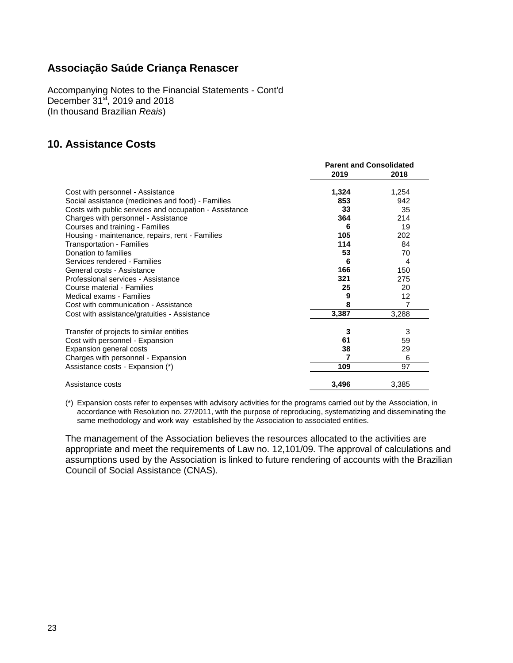Accompanying Notes to the Financial Statements - Cont'd December 31<sup>st</sup>, 2019 and 2018 (In thousand Brazilian *Reais*)

# **10. Assistance Costs**

|                                                        | <b>Parent and Consolidated</b> |       |
|--------------------------------------------------------|--------------------------------|-------|
|                                                        | 2019                           | 2018  |
| Cost with personnel - Assistance                       | 1,324                          | 1,254 |
| Social assistance (medicines and food) - Families      | 853                            | 942   |
| Costs with public services and occupation - Assistance | 33                             | 35    |
| Charges with personnel - Assistance                    | 364                            | 214   |
| Courses and training - Families                        | 6                              | 19    |
| Housing - maintenance, repairs, rent - Families        | 105                            | 202   |
| <b>Transportation - Families</b>                       | 114                            | 84    |
| Donation to families                                   | 53                             | 70    |
| Services rendered - Families                           | 6                              | 4     |
| General costs - Assistance                             | 166                            | 150   |
| Professional services - Assistance                     | 321                            | 275   |
| Course material - Families                             | 25                             | 20    |
| Medical exams - Families                               | 9                              | 12    |
| Cost with communication - Assistance                   | 8                              | 7     |
| Cost with assistance/gratuities - Assistance           | 3,387                          | 3,288 |
| Transfer of projects to similar entities               | 3                              | 3     |
| Cost with personnel - Expansion                        | 61                             | 59    |
| Expansion general costs                                | 38                             | 29    |
| Charges with personnel - Expansion                     | 7                              | 6     |
| Assistance costs - Expansion (*)                       | 109                            | 97    |
| Assistance costs                                       | 3,496                          | 3,385 |

(\*) Expansion costs refer to expenses with advisory activities for the programs carried out by the Association, in accordance with Resolution no. 27/2011, with the purpose of reproducing, systematizing and disseminating the same methodology and work way established by the Association to associated entities.

The management of the Association believes the resources allocated to the activities are appropriate and meet the requirements of Law no. 12,101/09. The approval of calculations and assumptions used by the Association is linked to future rendering of accounts with the Brazilian Council of Social Assistance (CNAS).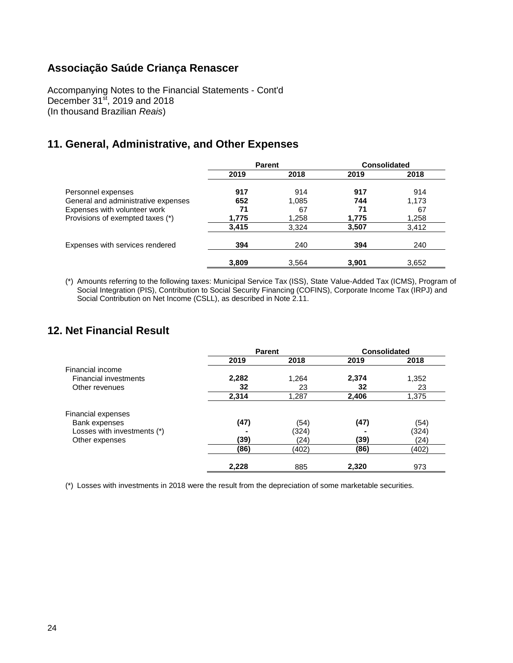Accompanying Notes to the Financial Statements - Cont'd December  $31<sup>st</sup>$ , 2019 and 2018 (In thousand Brazilian *Reais*)

## **11. General, Administrative, and Other Expenses**

|                                     | <b>Parent</b> |       | <b>Consolidated</b> |       |
|-------------------------------------|---------------|-------|---------------------|-------|
|                                     | 2019          | 2018  | 2019                | 2018  |
| Personnel expenses                  | 917           | 914   | 917                 | 914   |
| General and administrative expenses | 652           | 1,085 | 744                 | 1,173 |
| Expenses with volunteer work        | 71            | 67    | 71                  | 67    |
| Provisions of exempted taxes (*)    | 1,775         | 1,258 | 1,775               | 1,258 |
|                                     | 3,415         | 3,324 | 3,507               | 3,412 |
| Expenses with services rendered     | 394           | 240   | 394                 | 240   |
|                                     | 3,809         | 3.564 | 3,901               | 3,652 |

(\*) Amounts referring to the following taxes: Municipal Service Tax (ISS), State Value-Added Tax (ICMS), Program of Social Integration (PIS), Contribution to Social Security Financing (COFINS), Corporate Income Tax (IRPJ) and Social Contribution on Net Income (CSLL), as described in Note 2.11.

### **12. Net Financial Result**

|                              | <b>Parent</b> |       | <b>Consolidated</b> |       |
|------------------------------|---------------|-------|---------------------|-------|
|                              | 2019          | 2018  | 2019                | 2018  |
| Financial income             |               |       |                     |       |
| <b>Financial investments</b> | 2,282         | 1,264 | 2,374               | 1,352 |
| Other revenues               | 32            | 23    | 32                  | 23    |
|                              | 2,314         | 1,287 | 2,406               | 1,375 |
| Financial expenses           |               |       |                     |       |
| Bank expenses                | (47)          | (54)  | (47)                | (54)  |
| Losses with investments (*)  |               | (324) |                     | (324) |
| Other expenses               | (39)          | (24)  | (39)                | (24)  |
|                              | (86)          | (402) | (86)                | (402) |
|                              | 2,228         | 885   | 2,320               | 973   |

(\*) Losses with investments in 2018 were the result from the depreciation of some marketable securities.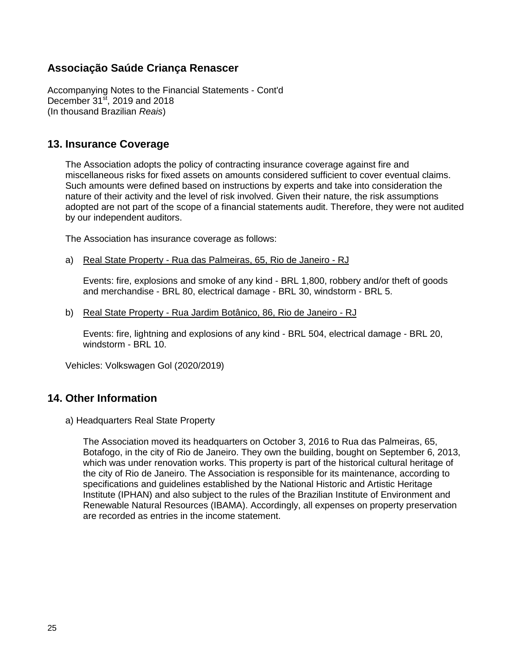Accompanying Notes to the Financial Statements - Cont'd December  $31<sup>st</sup>$ , 2019 and 2018 (In thousand Brazilian *Reais*)

### **13. Insurance Coverage**

The Association adopts the policy of contracting insurance coverage against fire and miscellaneous risks for fixed assets on amounts considered sufficient to cover eventual claims. Such amounts were defined based on instructions by experts and take into consideration the nature of their activity and the level of risk involved. Given their nature, the risk assumptions adopted are not part of the scope of a financial statements audit. Therefore, they were not audited by our independent auditors.

The Association has insurance coverage as follows:

a) Real State Property - Rua das Palmeiras, 65, Rio de Janeiro - RJ

Events: fire, explosions and smoke of any kind - BRL 1,800, robbery and/or theft of goods and merchandise - BRL 80, electrical damage - BRL 30, windstorm - BRL 5.

b) Real State Property - Rua Jardim Botânico, 86, Rio de Janeiro - RJ

Events: fire, lightning and explosions of any kind - BRL 504, electrical damage - BRL 20, windstorm - BRL 10.

Vehicles: Volkswagen Gol (2020/2019)

### **14. Other Information**

a) Headquarters Real State Property

The Association moved its headquarters on October 3, 2016 to Rua das Palmeiras, 65, Botafogo, in the city of Rio de Janeiro. They own the building, bought on September 6, 2013, which was under renovation works. This property is part of the historical cultural heritage of the city of Rio de Janeiro. The Association is responsible for its maintenance, according to specifications and guidelines established by the National Historic and Artistic Heritage Institute (IPHAN) and also subject to the rules of the Brazilian Institute of Environment and Renewable Natural Resources (IBAMA). Accordingly, all expenses on property preservation are recorded as entries in the income statement.